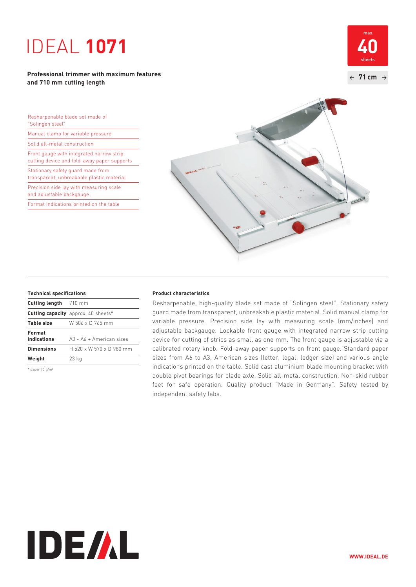# IDEAL **1071**

# **Professional trimmer with maximum features and 710 mm cutting length**



Resharpenable blade set made of "Solingen steel" Manual clamp for variable pressure Solid all-metal construction Front gauge with integrated narrow strip cutting device and fold-away paper supports Stationary safety guard made from

transparent, unbreakable plastic material

Precision side lay with measuring scale

and adjustable backgauge.

Format indications printed on the table



| Cutting length 710 mm |                                            |
|-----------------------|--------------------------------------------|
|                       | <b>Cutting capacity</b> approx. 40 sheets* |
| <b>Table size</b>     | W 506 x D 765 mm                           |
| Format<br>indications | A3 - A6 + American sizes                   |
| <b>Dimensions</b>     | H 520 x W 570 x D 980 mm                   |
| Weight                | 23 kg                                      |

\* paper 70 g/m²

### **Technical specifications Product characteristics**

 Resharpenable, high-quality blade set made of "Solingen steel". Stationary safety guard made from transparent, unbreakable plastic material. Solid manual clamp for variable pressure. Precision side lay with measuring scale (mm/inches) and adjustable backgauge. Lockable front gauge with integrated narrow strip cutting device for cutting of strips as small as one mm. The front gauge is adjustable via a calibrated rotary knob. Fold-away paper supports on front gauge. Standard paper sizes from A6 to A3, American sizes (letter, legal, ledger size) and various angle indications printed on the table. Solid cast aluminium blade mounting bracket with double pivot bearings for blade axle. Solid all-metal construction. Non-skid rubber feet for safe operation. Quality product "Made in Germany". Safety tested by independent safety labs.